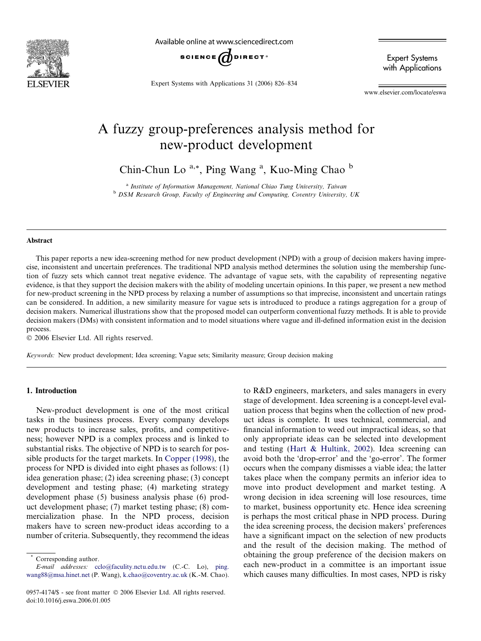

Available online at www.sciencedirect.com



Expert Systems with Applications 31 (2006) 826–834

Expert Systems with Applications

www.elsevier.com/locate/eswa

## A fuzzy group-preferences analysis method for new-product development

Chin-Chun Lo<sup>a,\*</sup>, Ping Wang<sup>a</sup>, Kuo-Ming Chao<sup>b</sup>

<sup>a</sup> Institute of Information Management, National Chiao Tung University, Taiwan <sup>b</sup> DSM Research Group, Faculty of Engineering and Computing, Coventry University, UK

#### Abstract

This paper reports a new idea-screening method for new product development (NPD) with a group of decision makers having imprecise, inconsistent and uncertain preferences. The traditional NPD analysis method determines the solution using the membership function of fuzzy sets which cannot treat negative evidence. The advantage of vague sets, with the capability of representing negative evidence, is that they support the decision makers with the ability of modeling uncertain opinions. In this paper, we present a new method for new-product screening in the NPD process by relaxing a number of assumptions so that imprecise, inconsistent and uncertain ratings can be considered. In addition, a new similarity measure for vague sets is introduced to produce a ratings aggregation for a group of decision makers. Numerical illustrations show that the proposed model can outperform conventional fuzzy methods. It is able to provide decision makers (DMs) with consistent information and to model situations where vague and ill-defined information exist in the decision process.

- 2006 Elsevier Ltd. All rights reserved.

Keywords: New product development; Idea screening; Vague sets; Similarity measure; Group decision making

#### 1. Introduction

New-product development is one of the most critical tasks in the business process. Every company develops new products to increase sales, profits, and competitiveness; however NPD is a complex process and is linked to substantial risks. The objective of NPD is to search for possible products for the target markets. In [Copper \(1998\)](#page--1-0), the process for NPD is divided into eight phases as follows: (1) idea generation phase; (2) idea screening phase; (3) concept development and testing phase; (4) marketing strategy development phase (5) business analysis phase (6) product development phase; (7) market testing phase; (8) commercialization phase. In the NPD process, decision makers have to screen new-product ideas according to a number of criteria. Subsequently, they recommend the ideas to R&D engineers, marketers, and sales managers in every stage of development. Idea screening is a concept-level evaluation process that begins when the collection of new product ideas is complete. It uses technical, commercial, and financial information to weed out impractical ideas, so that only appropriate ideas can be selected into development and testing [\(Hart & Hultink, 2002\)](#page--1-0). Idea screening can avoid both the 'drop-error' and the 'go-error'. The former occurs when the company dismisses a viable idea; the latter takes place when the company permits an inferior idea to move into product development and market testing. A wrong decision in idea screening will lose resources, time to market, business opportunity etc. Hence idea screening is perhaps the most critical phase in NPD process. During the idea screening process, the decision makers' preferences have a significant impact on the selection of new products and the result of the decision making. The method of obtaining the group preference of the decision makers on each new-product in a committee is an important issue which causes many difficulties. In most cases, NPD is risky

Corresponding author.

E-mail addresses: [cclo@faculity.nctu.edu.tw](mailto:cclo@faculity.nctu.edu.tw) (C.-C. Lo), [ping.](mailto:ping. wang88@msa.hinet.net) [wang88@msa.hinet.net](mailto:ping. wang88@msa.hinet.net) (P. Wang), [k.chao@coventry.ac.uk](mailto:k.chao@coventry.ac.uk) (K.-M. Chao).

<sup>0957-4174/\$ -</sup> see front matter © 2006 Elsevier Ltd. All rights reserved. doi:10.1016/j.eswa.2006.01.005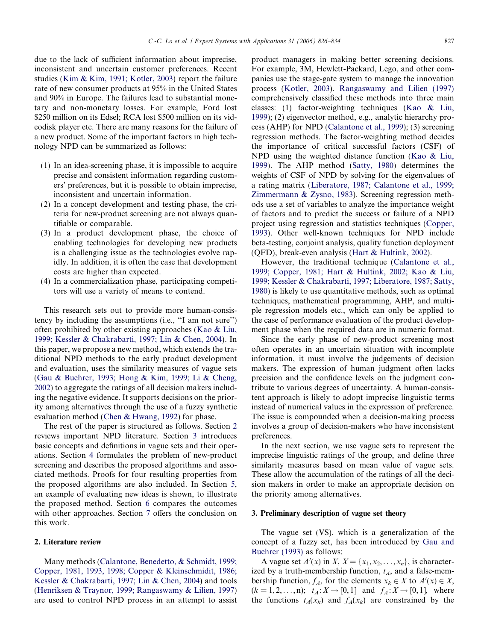due to the lack of sufficient information about imprecise, inconsistent and uncertain customer preferences. Recent studies ([Kim & Kim, 1991; Kotler, 2003](#page--1-0)) report the failure rate of new consumer products at 95% in the United States and 90% in Europe. The failures lead to substantial monetary and non-monetary losses. For example, Ford lost \$250 million on its Edsel; RCA lost \$500 million on its videodisk player etc. There are many reasons for the failure of a new product. Some of the important factors in high technology NPD can be summarized as follows:

- (1) In an idea-screening phase, it is impossible to acquire precise and consistent information regarding customers' preferences, but it is possible to obtain imprecise, inconsistent and uncertain information.
- (2) In a concept development and testing phase, the criteria for new-product screening are not always quantifiable or comparable.
- (3) In a product development phase, the choice of enabling technologies for developing new products is a challenging issue as the technologies evolve rapidly. In addition, it is often the case that development costs are higher than expected.
- (4) In a commercialization phase, participating competitors will use a variety of means to contend.

This research sets out to provide more human-consistency by including the assumptions (i.e., ''I am not sure'') often prohibited by other existing approaches ([Kao & Liu,](#page--1-0) [1999; Kessler & Chakrabarti, 1997; Lin & Chen, 2004](#page--1-0)). In this paper, we propose a new method, which extends the traditional NPD methods to the early product development and evaluation, uses the similarity measures of vague sets ([Gau & Buehrer, 1993; Hong & Kim, 1999; Li & Cheng,](#page--1-0) [2002](#page--1-0)) to aggregate the ratings of all decision makers including the negative evidence. It supports decisions on the priority among alternatives through the use of a fuzzy synthetic evaluation method [\(Chen & Hwang, 1992](#page--1-0)) for phase.

The rest of the paper is structured as follows. Section 2 reviews important NPD literature. Section 3 introduces basic concepts and definitions in vague sets and their operations. Section [4](#page--1-0) formulates the problem of new-product screening and describes the proposed algorithms and associated methods. Proofs for four resulting properties from the proposed algorithms are also included. In Section [5,](#page--1-0) an example of evaluating new ideas is shown, to illustrate the proposed method. Section [6](#page--1-0) compares the outcomes with other approaches. Section [7](#page--1-0) offers the conclusion on this work.

#### 2. Literature review

Many methods ([Calantone, Benedetto, & Schmidt, 1999;](#page--1-0) [Copper, 1981, 1993, 1998; Copper & Kleinschmidit, 1986;](#page--1-0) [Kessler & Chakrabarti, 1997; Lin & Chen, 2004](#page--1-0)) and tools ([Henriksen & Traynor, 1999; Rangaswamy & Lilien, 1997](#page--1-0)) are used to control NPD process in an attempt to assist product managers in making better screening decisions. For example, 3M, Hewlett-Packard, Lego, and other companies use the stage-gate system to manage the innovation process ([Kotler, 2003](#page--1-0)). [Rangaswamy and Lilien \(1997\)](#page--1-0) comprehensively classified these methods into three main classes: (1) factor-weighting techniques [\(Kao & Liu,](#page--1-0) [1999](#page--1-0)); (2) eigenvector method, e.g., analytic hierarchy process (AHP) for NPD [\(Calantone et al., 1999\)](#page--1-0); (3) screening regression methods. The factor-weighting method decides the importance of critical successful factors (CSF) of NPD using the weighted distance function [\(Kao & Liu,](#page--1-0) [1999](#page--1-0)). The AHP method ([Satty, 1980\)](#page--1-0) determines the weights of CSF of NPD by solving for the eigenvalues of a rating matrix ([Liberatore, 1987; Calantone et al., 1999;](#page--1-0) [Zimmermann & Zysno, 1983](#page--1-0)). Screening regression methods use a set of variables to analyze the importance weight of factors and to predict the success or failure of a NPD project using regression and statistics techniques ([Copper,](#page--1-0) [1993](#page--1-0)). Other well-known techniques for NPD include beta-testing, conjoint analysis, quality function deployment (QFD), break-even analysis [\(Hart & Hultink, 2002](#page--1-0)).

However, the traditional technique ([Calantone et al.,](#page--1-0) [1999; Copper, 1981; Hart & Hultink, 2002; Kao & Liu,](#page--1-0) [1999; Kessler & Chakrabarti, 1997; Liberatore, 1987; Satty,](#page--1-0) [1980](#page--1-0)) is likely to use quantitative methods, such as optimal techniques, mathematical programming, AHP, and multiple regression models etc., which can only be applied to the case of performance evaluation of the product development phase when the required data are in numeric format.

Since the early phase of new-product screening most often operates in an uncertain situation with incomplete information, it must involve the judgements of decision makers. The expression of human judgment often lacks precision and the confidence levels on the judgment contribute to various degrees of uncertainty. A human-consistent approach is likely to adopt imprecise linguistic terms instead of numerical values in the expression of preference. The issue is compounded when a decision-making process involves a group of decision-makers who have inconsistent preferences.

In the next section, we use vague sets to represent the imprecise linguistic ratings of the group, and define three similarity measures based on mean value of vague sets. These allow the accumulation of the ratings of all the decision makers in order to make an appropriate decision on the priority among alternatives.

### 3. Preliminary description of vague set theory

The vague set (VS), which is a generalization of the concept of a fuzzy set, has been introduced by [Gau and](#page--1-0) [Buehrer \(1993\)](#page--1-0) as follows:

A vague set  $A'(x)$  in  $X, X = \{x_1, x_2, \ldots, x_n\}$ , is characterized by a truth-membership function,  $t_A$ , and a false-membership function,  $f_A$ , for the elements  $x_k \in X$  to  $A'(x) \in X$ ,  $(k = 1, 2, ..., n);$   $t_A : X \to [0, 1]$  and  $f_A : X \to [0, 1]$ , where the functions  $t_A(x_k)$  and  $f_A(x_k)$  are constrained by the